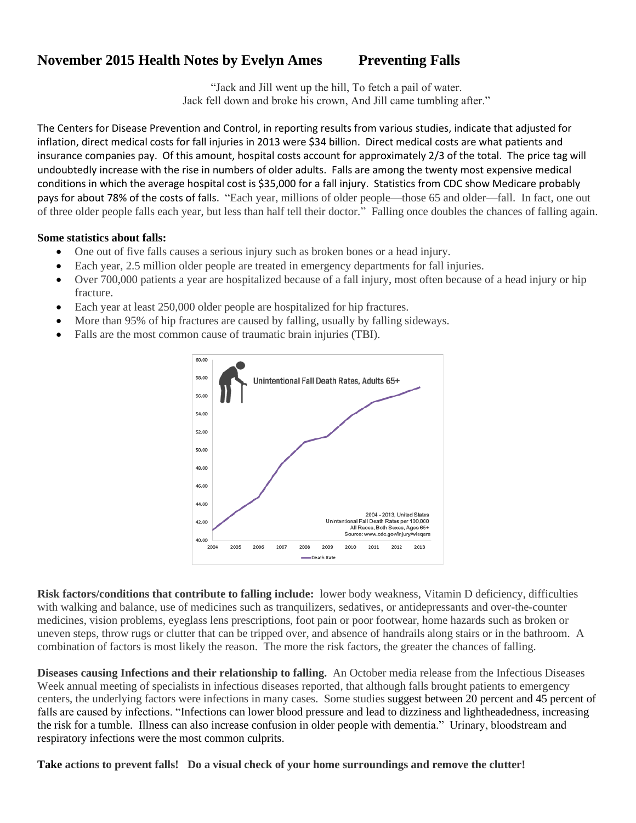## **November 2015 Health Notes by Evelyn Ames** Preventing Falls

"Jack and Jill went up the hill, To fetch a pail of water. Jack fell down and broke his crown, And Jill came tumbling after."

The Centers for Disease Prevention and Control, in reporting results from various studies, indicate that adjusted for inflation, direct medical costs for fall injuries in 2013 were \$34 billion. Direct medical costs are what patients and insurance companies pay. Of this amount, hospital costs account for approximately 2/3 of the total. The price tag will undoubtedly increase with the rise in numbers of older adults. Falls are among the twenty most expensive medical conditions in which the average hospital cost is \$35,000 for a fall injury. Statistics from CDC show Medicare probably pays for about 78% of the costs of falls. "Each year, millions of older people—those 65 and older—fall. In fact, one out of three older people falls each year, but less than half tell their doctor." Falling once doubles the chances of falling again.

## **Some statistics about falls:**

- One out of five falls causes a serious injury such as broken bones or a head injury.
- Each year, 2.5 million older people are treated in emergency departments for fall injuries.
- Over 700,000 patients a year are hospitalized because of a fall injury, most often because of a head injury or hip fracture.
- Each year at least 250,000 older people are hospitalized for hip fractures.
- More than 95% of hip fractures are caused by falling, usually by falling sideways.
- Falls are the most common cause of traumatic brain injuries (TBI).



**Risk factors/conditions that contribute to falling include:** lower body weakness, Vitamin D deficiency, difficulties with walking and balance, use of medicines such as tranquilizers, sedatives, or antidepressants and over-the-counter medicines, vision problems, eyeglass lens prescriptions, foot pain or poor footwear, home hazards such as broken or uneven steps, throw rugs or clutter that can be tripped over, and absence of handrails along stairs or in the bathroom. A combination of factors is most likely the reason. The more the risk factors, the greater the chances of falling.

**Diseases causing Infections and their relationship to falling.** An October media release from the Infectious Diseases Week annual meeting of specialists in infectious diseases reported, that although falls brought patients to emergency centers, the underlying factors were infections in many cases. Some studies suggest between 20 percent and 45 percent of falls are caused by infections. "Infections can lower blood pressure and lead to dizziness and lightheadedness, increasing the risk for a tumble. Illness can also increase confusion in older people with dementia." Urinary, bloodstream and respiratory infections were the most common culprits.

**Take actions to prevent falls! Do a visual check of your home surroundings and remove the clutter!**